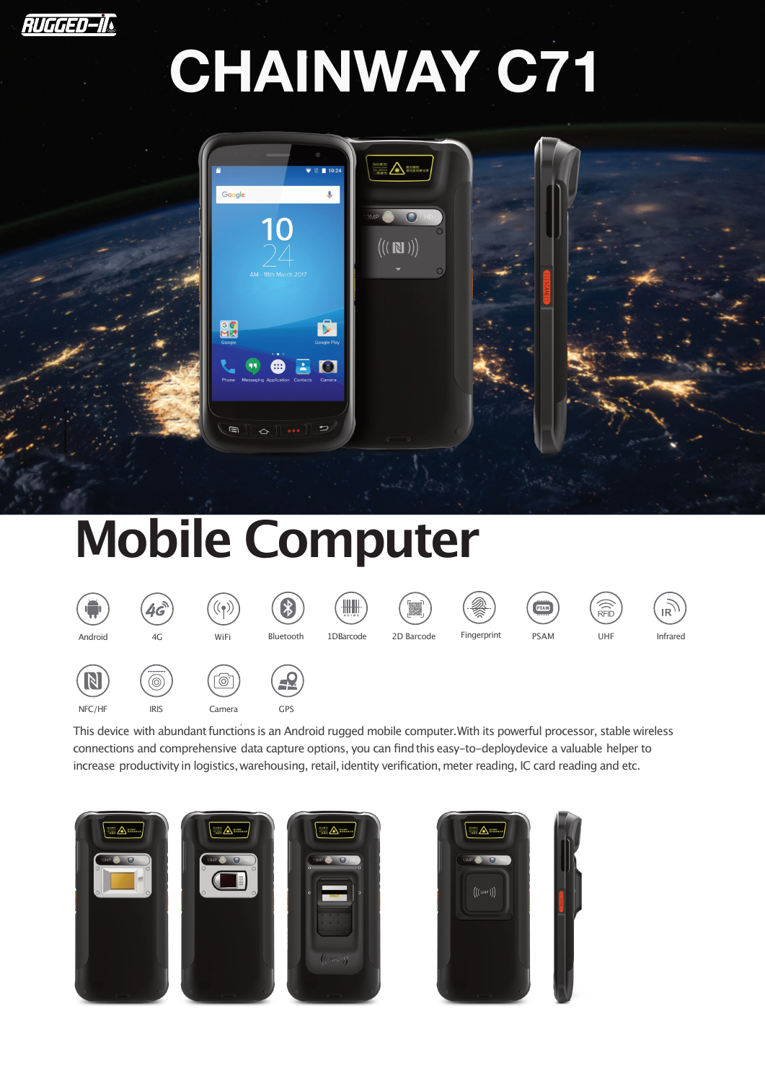

# **CHAINWAY C71**



## **Mobile Computer**

| Жń<br>π<br>Android    | 40<br>4G                                       | ۰<br>WiFi                                     | W.<br>ゆ<br>Bluetooth | $\begin{array}{c} \begin{array}{c} \text{array} \\\text{array} \\\text{array} \end{array} \end{array}$<br>1DBarcode | $\sim$<br>$\overline{\phantom{a}}$<br><b>ISSUED</b><br>2D Barcode | <b>Q</b><br>Fingerprint | -<br>PSAM<br><b>PSAM</b> | $\widehat{R\oplus Q}$<br>UHF | <b>IR</b><br>Infrared |
|-----------------------|------------------------------------------------|-----------------------------------------------|----------------------|---------------------------------------------------------------------------------------------------------------------|-------------------------------------------------------------------|-------------------------|--------------------------|------------------------------|-----------------------|
| $\mathbb N$<br>NFC/HF | $-$<br>$\widehat{\circledcirc}$<br><b>IRIS</b> | $\overline{\phantom{a}}$<br>$\circ$<br>Camera | HX<br><b>GPS</b>     |                                                                                                                     |                                                                   |                         |                          |                              |                       |

This device with abundant functions is an Android rugged mobile computer. With its powerful processor, stable wireless connections and comprehensive data capture options, you can findthis easy-to-deploydevice a valuable helper to increase productivity in logistics, warehousing, retail, identity verification, meter reading, IC card reading and etc.